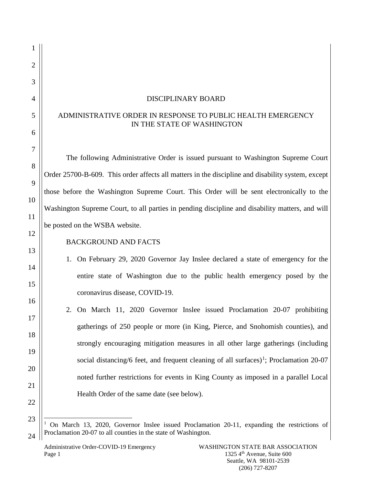| $\overline{2}$ |                                                                                                    |  |  |
|----------------|----------------------------------------------------------------------------------------------------|--|--|
| 3              |                                                                                                    |  |  |
| $\overline{4}$ | <b>DISCIPLINARY BOARD</b>                                                                          |  |  |
| 5              | ADMINISTRATIVE ORDER IN RESPONSE TO PUBLIC HEALTH EMERGENCY<br>IN THE STATE OF WASHINGTON          |  |  |
| 6              |                                                                                                    |  |  |
| 7              | The following Administrative Order is issued pursuant to Washington Supreme Court                  |  |  |
| 8              |                                                                                                    |  |  |
| 9              | Order 25700-B-609. This order affects all matters in the discipline and disability system, except  |  |  |
|                | those before the Washington Supreme Court. This Order will be sent electronically to the           |  |  |
| 10             | Washington Supreme Court, to all parties in pending discipline and disability matters, and will    |  |  |
| 11             | be posted on the WSBA website.                                                                     |  |  |
| 12             |                                                                                                    |  |  |
| 13             | <b>BACKGROUND AND FACTS</b>                                                                        |  |  |
| 14             | On February 29, 2020 Governor Jay Inslee declared a state of emergency for the<br>1.               |  |  |
| 15             | entire state of Washington due to the public health emergency posed by the                         |  |  |
|                | coronavirus disease, COVID-19.                                                                     |  |  |
| 16             | 2. On March 11, 2020 Governor Inslee issued Proclamation 20-07 prohibiting                         |  |  |
| 17             | gatherings of 250 people or more (in King, Pierce, and Snohomish counties), and                    |  |  |
| 18             |                                                                                                    |  |  |
| 19             | strongly encouraging mitigation measures in all other large gatherings (including                  |  |  |
| 20             | social distancing/6 feet, and frequent cleaning of all surfaces) <sup>1</sup> ; Proclamation 20-07 |  |  |
| 21             | noted further restrictions for events in King County as imposed in a parallel Local                |  |  |
|                | Health Order of the same date (see below).                                                         |  |  |
| 22             |                                                                                                    |  |  |
| 23             |                                                                                                    |  |  |

<span id="page-0-0"></span> $24$ <sup>1</sup> On March 13, 2020, Governor Inslee issued Proclamation 20-11, expanding the restrictions of Proclamation 20-07 to all counties in the state of Washington.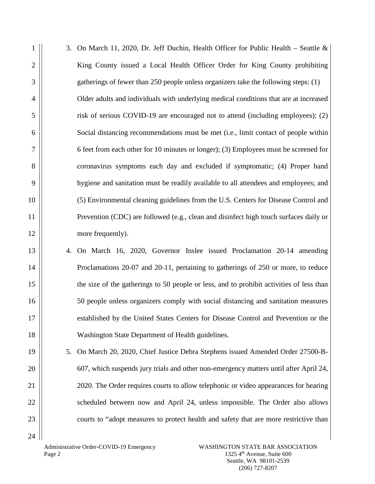| 1              |    | 3. On March 11, 2020, Dr. Jeff Duchin, Health Officer for Public Health – Seattle &      |
|----------------|----|------------------------------------------------------------------------------------------|
| $\overline{2}$ |    | King County issued a Local Health Officer Order for King County prohibiting              |
| 3              |    | gatherings of fewer than 250 people unless organizers take the following steps: (1)      |
| $\overline{4}$ |    | Older adults and individuals with underlying medical conditions that are at increased    |
| 5              |    | risk of serious COVID-19 are encouraged not to attend (including employees); (2)         |
| 6              |    | Social distancing recommendations must be met (i.e., limit contact of people within      |
| $\overline{7}$ |    | 6 feet from each other for 10 minutes or longer); (3) Employees must be screened for     |
| 8              |    | coronavirus symptoms each day and excluded if symptomatic; (4) Proper hand               |
| 9              |    | hygiene and sanitation must be readily available to all attendees and employees; and     |
| 10             |    | (5) Environmental cleaning guidelines from the U.S. Centers for Disease Control and      |
| 11             |    | Prevention (CDC) are followed (e.g., clean and disinfect high touch surfaces daily or    |
| 12             |    | more frequently).                                                                        |
| 13             |    | 4. On March 16, 2020, Governor Inslee issued Proclamation 20-14 amending                 |
| 14             |    | Proclamations 20-07 and 20-11, pertaining to gatherings of 250 or more, to reduce        |
| 15             |    | the size of the gatherings to 50 people or less, and to prohibit activities of less than |
| 16             |    | 50 people unless organizers comply with social distancing and sanitation measures        |
| 17             |    | established by the United States Centers for Disease Control and Prevention or the       |
| 18             |    | Washington State Department of Health guidelines.                                        |
| 19             | 5. | On March 20, 2020, Chief Justice Debra Stephens issued Amended Order 27500-B-            |
| 20             |    | 607, which suspends jury trials and other non-emergency matters until after April 24,    |
| 21             |    | 2020. The Order requires courts to allow telephonic or video appearances for hearing     |
| 22             |    | scheduled between now and April 24, unless impossible. The Order also allows             |
| 23             |    | courts to "adopt measures to protect health and safety that are more restrictive than    |
| 24             |    |                                                                                          |

Administrative Order-COVID-19 Emergency Page 2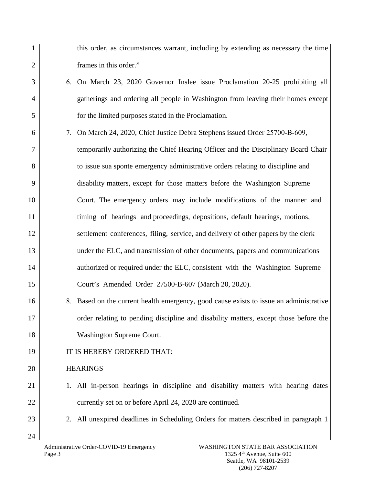this order, as circumstances warrant, including by extending as necessary the time frames in this order."

- 6. On March 23, 2020 Governor Inslee issue Proclamation 20-25 prohibiting all gatherings and ordering all people in Washington from leaving their homes except for the limited purposes stated in the Proclamation.
- 7. On March 24, 2020, Chief Justice Debra Stephens issued Order 25700-B-609,

temporarily authorizing the Chief Hearing Officer and the Disciplinary Board Chair to issue sua sponte emergency administrative orders relating to discipline and disability matters, except for those matters before the Washington Supreme Court. The emergency orders may include modifications of the manner and timing of hearings and proceedings, depositions, default hearings, motions, settlement conferences, filing, service, and delivery of other papers by the clerk under the ELC, and transmission of other documents, papers and communications authorized or required under the ELC, consistent with the Washington Supreme Court's Amended Order 27500-B-607 (March 20, 2020).

- 8. Based on the current health emergency, good cause exists to issue an administrative order relating to pending discipline and disability matters, except those before the Washington Supreme Court.
- IT IS HEREBY ORDERED THAT:

## **HEARINGS**

- 1. All in-person hearings in discipline and disability matters with hearing dates currently set on or before April 24, 2020 are continued.
- 2. All unexpired deadlines in Scheduling Orders for matters described in paragraph 1
- Administrative Order-COVID-19 Emergency Page 3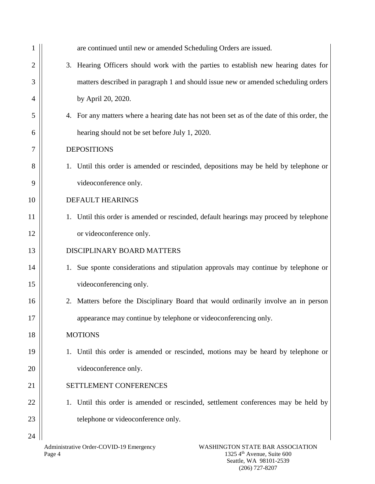|                | are continued until new or amended Scheduling Orders are issued.                           |
|----------------|--------------------------------------------------------------------------------------------|
| $\overline{2}$ | 3. Hearing Officers should work with the parties to establish new hearing dates for        |
| 3              | matters described in paragraph 1 and should issue new or amended scheduling orders         |
| 4              | by April 20, 2020.                                                                         |
| 5              | 4. For any matters where a hearing date has not been set as of the date of this order, the |
| 6              | hearing should not be set before July 1, 2020.                                             |
| 7              | <b>DEPOSITIONS</b>                                                                         |
| 8              | 1. Until this order is amended or rescinded, depositions may be held by telephone or       |
| 9              | videoconference only.                                                                      |
| 10             | DEFAULT HEARINGS                                                                           |
| 11             | 1. Until this order is amended or rescinded, default hearings may proceed by telephone     |
| 12             | or videoconference only.                                                                   |
| 13             | DISCIPLINARY BOARD MATTERS                                                                 |
| 14             | 1. Sue sponte considerations and stipulation approvals may continue by telephone or        |
| 15             | videoconferencing only.                                                                    |
| 16             | Matters before the Disciplinary Board that would ordinarily involve an in person<br>2.     |
| 17             | appearance may continue by telephone or videoconferencing only.                            |
| 18             | <b>MOTIONS</b>                                                                             |
| 19             | 1. Until this order is amended or rescinded, motions may be heard by telephone or          |
| 20             | videoconference only.                                                                      |
| 21             | SETTLEMENT CONFERENCES                                                                     |
| 22             | Until this order is amended or rescinded, settlement conferences may be held by            |
| 23             | telephone or videoconference only.                                                         |
| 24             |                                                                                            |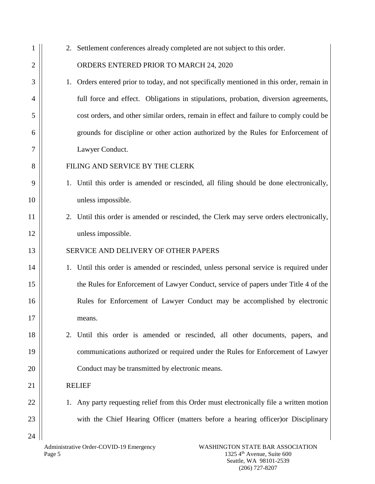|    | 2. Settlement conferences already completed are not subject to this order.                   |
|----|----------------------------------------------------------------------------------------------|
| 2  | ORDERS ENTERED PRIOR TO MARCH 24, 2020                                                       |
| 3  | Orders entered prior to today, and not specifically mentioned in this order, remain in<br>1. |
| 4  | full force and effect. Obligations in stipulations, probation, diversion agreements,         |
| 5  | cost orders, and other similar orders, remain in effect and failure to comply could be       |
| 6  | grounds for discipline or other action authorized by the Rules for Enforcement of            |
| 7  | Lawyer Conduct.                                                                              |
| 8  | FILING AND SERVICE BY THE CLERK                                                              |
| 9  | 1. Until this order is amended or rescinded, all filing should be done electronically,       |
| 10 | unless impossible.                                                                           |
| 11 | 2. Until this order is amended or rescinded, the Clerk may serve orders electronically,      |
| 12 | unless impossible.                                                                           |
| 13 | SERVICE AND DELIVERY OF OTHER PAPERS                                                         |
| 14 | 1. Until this order is amended or rescinded, unless personal service is required under       |
| 15 | the Rules for Enforcement of Lawyer Conduct, service of papers under Title 4 of the          |
| 16 | Rules for Enforcement of Lawyer Conduct may be accomplished by electronic                    |
| 17 | means.                                                                                       |
| 18 | Until this order is amended or rescinded, all other documents, papers, and<br>2.             |
| 19 | communications authorized or required under the Rules for Enforcement of Lawyer              |
| 20 | Conduct may be transmitted by electronic means.                                              |
| 21 | <b>RELIEF</b>                                                                                |
| 22 | 1. Any party requesting relief from this Order must electronically file a written motion     |
| 23 | with the Chief Hearing Officer (matters before a hearing officer) or Disciplinary            |
| 24 | CUINICTON CTATE DAD ACCOCLATION                                                              |